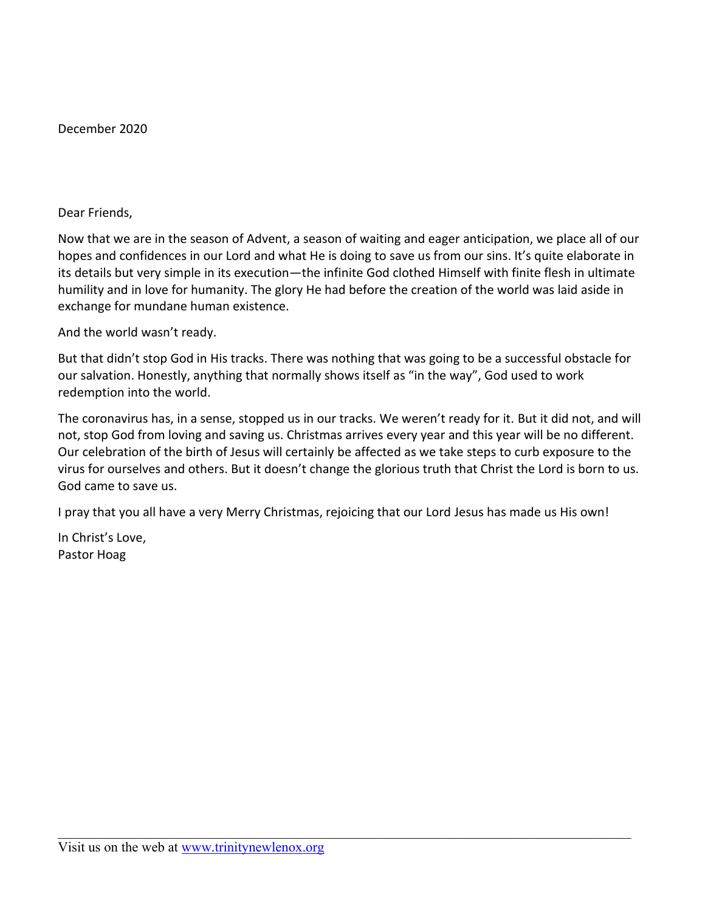December 2020

Dear Friends,

Now that we are in the season of Advent, a season of waiting and eager anticipation, we place all of our hopes and confidences in our Lord and what He is doing to save us from our sins. It's quite elaborate in its details but very simple in its execution—the infinite God clothed Himself with finite flesh in ultimate humility and in love for humanity. The glory He had before the creation of the world was laid aside in exchange for mundane human existence.

And the world wasn't ready.

But that didn't stop God in His tracks. There was nothing that was going to be a successful obstacle for our salvation. Honestly, anything that normally shows itself as "in the way", God used to work redemption into the world.

The coronavirus has, in a sense, stopped us in our tracks. We weren't ready for it. But it did not, and will not, stop God from loving and saving us. Christmas arrives every year and this year will be no different. Our celebration of the birth of Jesus will certainly be affected as we take steps to curb exposure to the virus for ourselves and others. But it doesn't change the glorious truth that Christ the Lord is born to us. God came to save us.

I pray that you all have a very Merry Christmas, rejoicing that our Lord Jesus has made us His own!

In Christ's Love, Pastor Hoag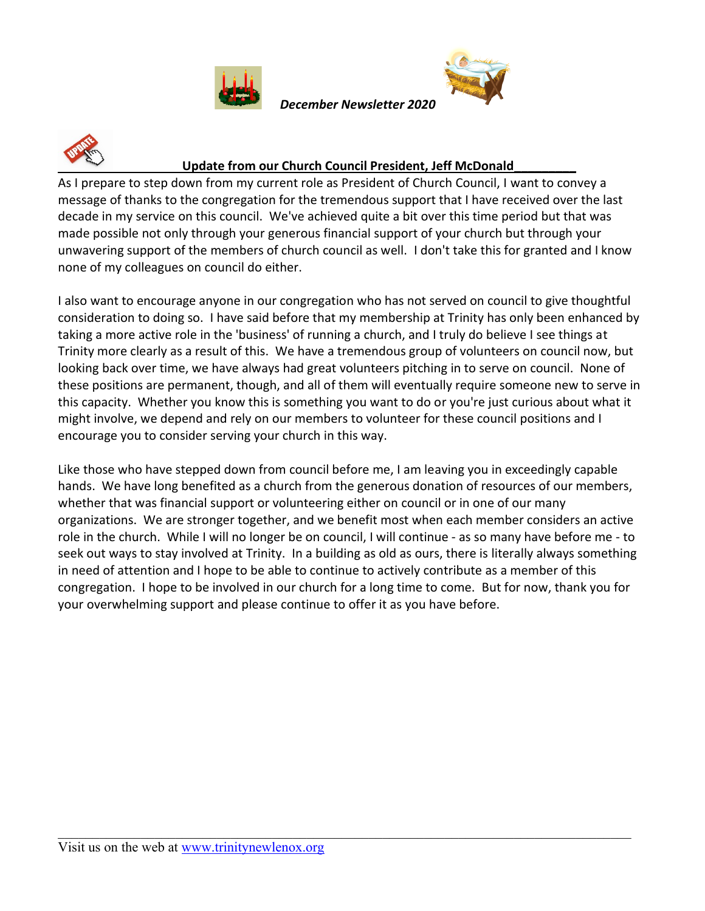





#### **Update from our Church Council President, Jeff McDonald\_\_\_\_\_\_\_\_\_**

*December Newsletter 2020*

As I prepare to step down from my current role as President of Church Council, I want to convey a message of thanks to the congregation for the tremendous support that I have received over the last decade in my service on this council. We've achieved quite a bit over this time period but that was made possible not only through your generous financial support of your church but through your unwavering support of the members of church council as well. I don't take this for granted and I know none of my colleagues on council do either.

I also want to encourage anyone in our congregation who has not served on council to give thoughtful consideration to doing so. I have said before that my membership at Trinity has only been enhanced by taking a more active role in the 'business' of running a church, and I truly do believe I see things at Trinity more clearly as a result of this. We have a tremendous group of volunteers on council now, but looking back over time, we have always had great volunteers pitching in to serve on council. None of these positions are permanent, though, and all of them will eventually require someone new to serve in this capacity. Whether you know this is something you want to do or you're just curious about what it might involve, we depend and rely on our members to volunteer for these council positions and I encourage you to consider serving your church in this way.

Like those who have stepped down from council before me, I am leaving you in exceedingly capable hands. We have long benefited as a church from the generous donation of resources of our members, whether that was financial support or volunteering either on council or in one of our many organizations. We are stronger together, and we benefit most when each member considers an active role in the church. While I will no longer be on council, I will continue - as so many have before me - to seek out ways to stay involved at Trinity. In a building as old as ours, there is literally always something in need of attention and I hope to be able to continue to actively contribute as a member of this congregation. I hope to be involved in our church for a long time to come. But for now, thank you for your overwhelming support and please continue to offer it as you have before.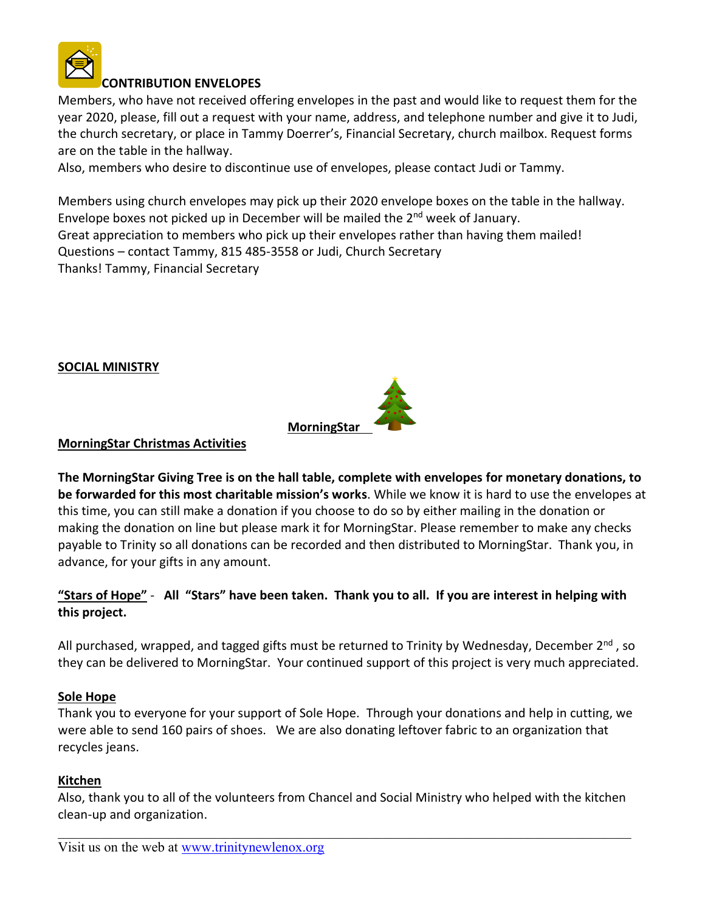

### **CONTRIBUTION ENVELOPES**

Members, who have not received offering envelopes in the past and would like to request them for the year 2020, please, fill out a request with your name, address, and telephone number and give it to Judi, the church secretary, or place in Tammy Doerrer's, Financial Secretary, church mailbox. Request forms are on the table in the hallway.

Also, members who desire to discontinue use of envelopes, please contact Judi or Tammy.

Members using church envelopes may pick up their 2020 envelope boxes on the table in the hallway. Envelope boxes not picked up in December will be mailed the 2nd week of January. Great appreciation to members who pick up their envelopes rather than having them mailed! Questions – contact Tammy, 815 485-3558 or Judi, Church Secretary Thanks! Tammy, Financial Secretary

**SOCIAL MINISTRY**



#### **MorningStar Christmas Activities**

**The MorningStar Giving Tree is on the hall table, complete with envelopes for monetary donations, to be forwarded for this most charitable mission's works**. While we know it is hard to use the envelopes at this time, you can still make a donation if you choose to do so by either mailing in the donation or making the donation on line but please mark it for MorningStar. Please remember to make any checks payable to Trinity so all donations can be recorded and then distributed to MorningStar. Thank you, in advance, for your gifts in any amount.

### **"Stars of Hope"** - **All "Stars" have been taken. Thank you to all. If you are interest in helping with this project.**

All purchased, wrapped, and tagged gifts must be returned to Trinity by Wednesday, December 2<sup>nd</sup>, so they can be delivered to MorningStar. Your continued support of this project is very much appreciated.

#### **Sole Hope**

Thank you to everyone for your support of Sole Hope. Through your donations and help in cutting, we were able to send 160 pairs of shoes. We are also donating leftover fabric to an organization that recycles jeans.

#### **Kitchen**

Also, thank you to all of the volunteers from Chancel and Social Ministry who helped with the kitchen clean-up and organization.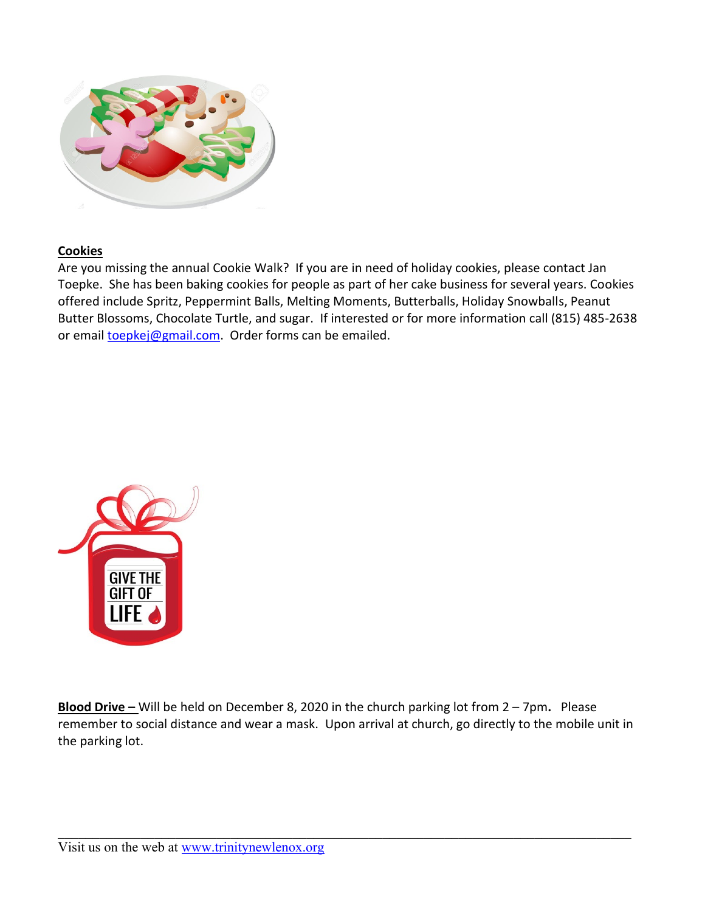

#### **Cookies**

Are you missing the annual Cookie Walk? If you are in need of holiday cookies, please contact Jan Toepke. She has been baking cookies for people as part of her cake business for several years. Cookies offered include Spritz, Peppermint Balls, Melting Moments, Butterballs, Holiday Snowballs, Peanut Butter Blossoms, Chocolate Turtle, and sugar. If interested or for more information call (815) 485-2638 or email [toepkej@gmail.com.](mailto:toepkej@gmail.com) Order forms can be emailed.



**Blood Drive –** Will be held on December 8, 2020 in the church parking lot from 2 – 7pm**.** Please remember to social distance and wear a mask. Upon arrival at church, go directly to the mobile unit in the parking lot.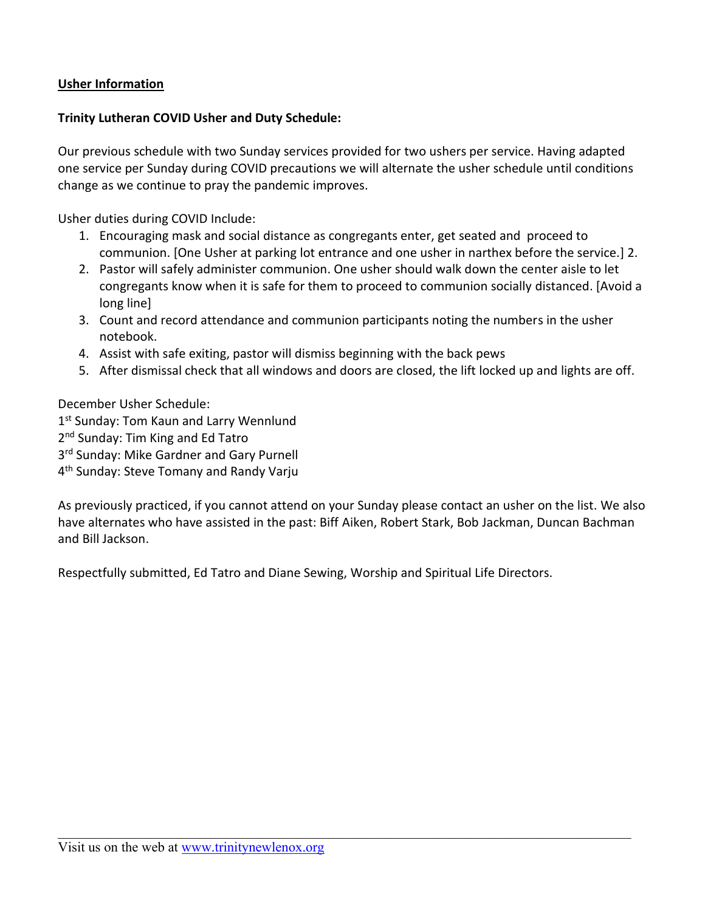### **Usher Information**

#### **Trinity Lutheran COVID Usher and Duty Schedule:**

Our previous schedule with two Sunday services provided for two ushers per service. Having adapted one service per Sunday during COVID precautions we will alternate the usher schedule until conditions change as we continue to pray the pandemic improves.

Usher duties during COVID Include:

- 1. Encouraging mask and social distance as congregants enter, get seated and proceed to communion. [One Usher at parking lot entrance and one usher in narthex before the service.] 2.
- 2. Pastor will safely administer communion. One usher should walk down the center aisle to let congregants know when it is safe for them to proceed to communion socially distanced. [Avoid a long line]
- 3. Count and record attendance and communion participants noting the numbers in the usher notebook.
- 4. Assist with safe exiting, pastor will dismiss beginning with the back pews
- 5. After dismissal check that all windows and doors are closed, the lift locked up and lights are off.

December Usher Schedule:

- 1 st Sunday: Tom Kaun and Larry Wennlund
- 2<sup>nd</sup> Sunday: Tim King and Ed Tatro
- 3 rd Sunday: Mike Gardner and Gary Purnell
- 4 th Sunday: Steve Tomany and Randy Varju

As previously practiced, if you cannot attend on your Sunday please contact an usher on the list. We also have alternates who have assisted in the past: Biff Aiken, Robert Stark, Bob Jackman, Duncan Bachman and Bill Jackson.

Respectfully submitted, Ed Tatro and Diane Sewing, Worship and Spiritual Life Directors.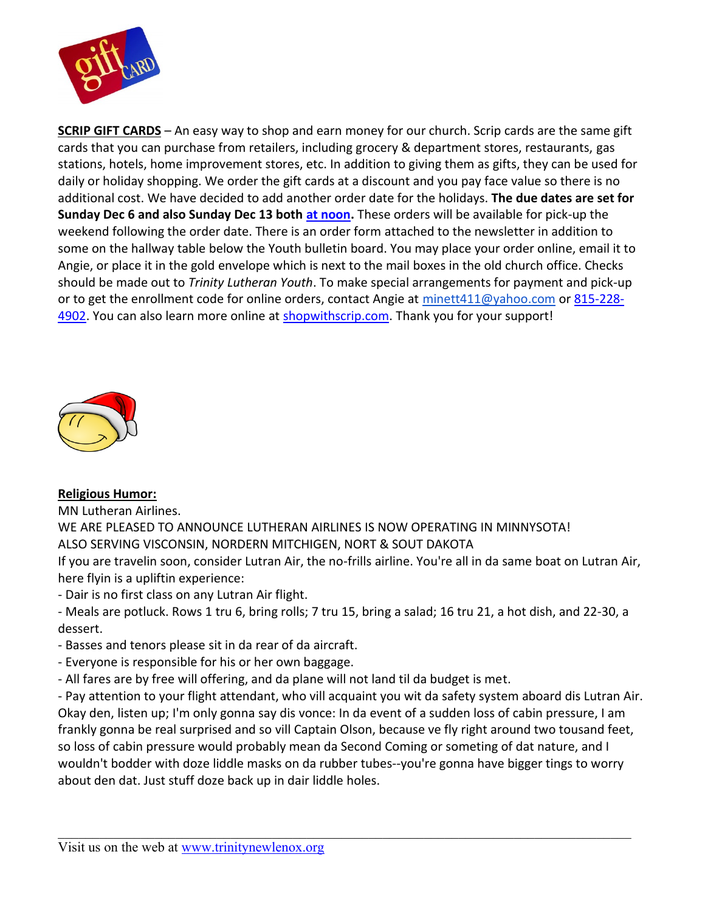

**SCRIP GIFT CARDS** – An easy way to shop and earn money for our church. Scrip cards are the same gift cards that you can purchase from retailers, including grocery & department stores, restaurants, gas stations, hotels, home improvement stores, etc. In addition to giving them as gifts, they can be used for daily or holiday shopping. We order the gift cards at a discount and you pay face value so there is no additional cost. We have decided to add another order date for the holidays. **The due dates are set for Sunday Dec 6 and also Sunday Dec 13 both [at noon.](x-apple-data-detectors://2/)** These orders will be available for pick-up the weekend following the order date. There is an order form attached to the newsletter in addition to some on the hallway table below the Youth bulletin board. You may place your order online, email it to Angie, or place it in the gold envelope which is next to the mail boxes in the old church office. Checks should be made out to *Trinity Lutheran Youth*. To make special arrangements for payment and pick-up or to get the enrollment code for online orders, contact Angie at [minett411@yahoo.com](mailto:minett411@yahoo.com) o[r 815-228-](tel:815-228-4902) [4902.](tel:815-228-4902) You can also learn more online at [shopwithscrip.com.](http://shopwithscrip.com/) Thank you for your support!



#### **Religious Humor:**

MN Lutheran Airlines.

WE ARE PLEASED TO ANNOUNCE LUTHERAN AIRLINES IS NOW OPERATING IN MINNYSOTA! ALSO SERVING VISCONSIN, NORDERN MITCHIGEN, NORT & SOUT DAKOTA

If you are travelin soon, consider Lutran Air, the no-frills airline. You're all in da same boat on Lutran Air, here flyin is a upliftin experience:

- Dair is no first class on any Lutran Air flight.

- Meals are potluck. Rows 1 tru 6, bring rolls; 7 tru 15, bring a salad; 16 tru 21, a hot dish, and 22-30, a dessert.

- Basses and tenors please sit in da rear of da aircraft.
- Everyone is responsible for his or her own baggage.
- All fares are by free will offering, and da plane will not land til da budget is met.

- Pay attention to your flight attendant, who vill acquaint you wit da safety system aboard dis Lutran Air. Okay den, listen up; I'm only gonna say dis vonce: In da event of a sudden loss of cabin pressure, I am frankly gonna be real surprised and so vill Captain Olson, because ve fly right around two tousand feet, so loss of cabin pressure would probably mean da Second Coming or someting of dat nature, and I wouldn't bodder with doze liddle masks on da rubber tubes--you're gonna have bigger tings to worry about den dat. Just stuff doze back up in dair liddle holes.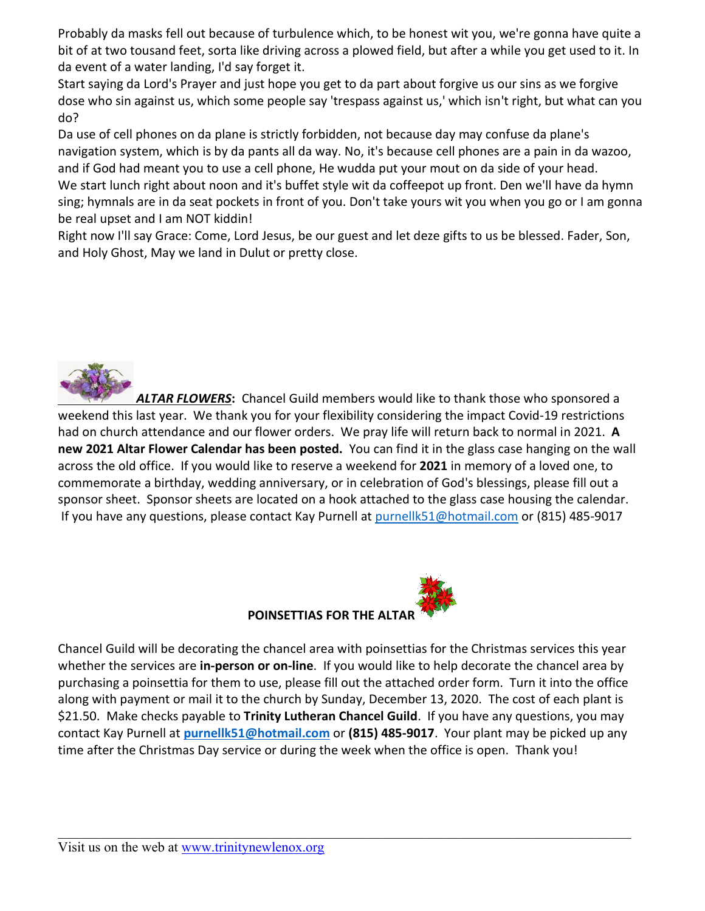Probably da masks fell out because of turbulence which, to be honest wit you, we're gonna have quite a bit of at two tousand feet, sorta like driving across a plowed field, but after a while you get used to it. In da event of a water landing, I'd say forget it.

Start saying da Lord's Prayer and just hope you get to da part about forgive us our sins as we forgive dose who sin against us, which some people say 'trespass against us,' which isn't right, but what can you do?

Da use of cell phones on da plane is strictly forbidden, not because day may confuse da plane's navigation system, which is by da pants all da way. No, it's because cell phones are a pain in da wazoo, and if God had meant you to use a cell phone, He wudda put your mout on da side of your head. We start lunch right about noon and it's buffet style wit da coffeepot up front. Den we'll have da hymn sing; hymnals are in da seat pockets in front of you. Don't take yours wit you when you go or I am gonna be real upset and I am NOT kiddin!

Right now I'll say Grace: Come, Lord Jesus, be our guest and let deze gifts to us be blessed. Fader, Son, and Holy Ghost, May we land in Dulut or pretty close.



*ALTAR FLOWERS***:** Chancel Guild members would like to thank those who sponsored a weekend this last year. We thank you for your flexibility considering the impact Covid-19 restrictions had on church attendance and our flower orders. We pray life will return back to normal in 2021. **A new 2021 Altar Flower Calendar has been posted.** You can find it in the glass case hanging on the wall across the old office. If you would like to reserve a weekend for **2021** in memory of a loved one, to commemorate a birthday, wedding anniversary, or in celebration of God's blessings, please fill out a sponsor sheet. Sponsor sheets are located on a hook attached to the glass case housing the calendar. If you have any questions, please contact Kay Purnell at [purnellk51@hotmail.com](mailto:purnellk51@hotmail.com) or (815) 485-9017



Chancel Guild will be decorating the chancel area with poinsettias for the Christmas services this year whether the services are **in-person or on-line**. If you would like to help decorate the chancel area by purchasing a poinsettia for them to use, please fill out the attached order form. Turn it into the office along with payment or mail it to the church by Sunday, December 13, 2020. The cost of each plant is \$21.50. Make checks payable to **Trinity Lutheran Chancel Guild**. If you have any questions, you may contact Kay Purnell at **[purnellk51@hotmail.com](mailto:purnellk51@hotmail.com)** or **(815) 485-9017**. Your plant may be picked up any time after the Christmas Day service or during the week when the office is open. Thank you!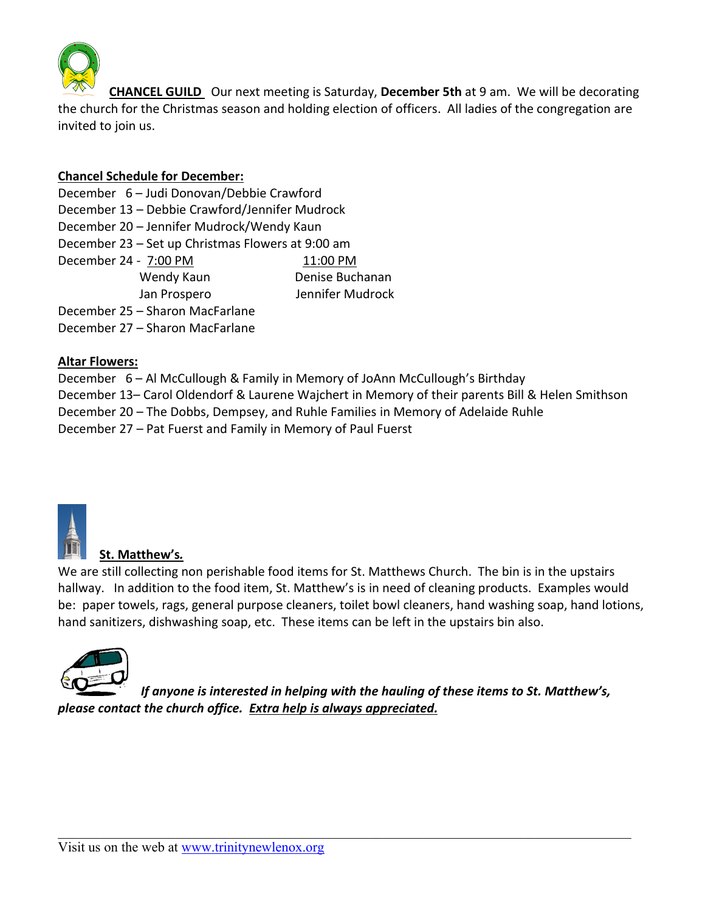

 **CHANCEL GUILD** Our next meeting is Saturday, **December 5th** at 9 am. We will be decorating the church for the Christmas season and holding election of officers. All ladies of the congregation are invited to join us.

### **Chancel Schedule for December:**

- December 6 Judi Donovan/Debbie Crawford
- December 13 Debbie Crawford/Jennifer Mudrock
- December 20 Jennifer Mudrock/Wendy Kaun
- December 23 Set up Christmas Flowers at 9:00 am December 24 - 7:00 PM 11:00 PM Wendy Kaun Denise Buchanan Jan Prospero Jennifer Mudrock

December 25 – Sharon MacFarlane December 27 – Sharon MacFarlane

### **Altar Flowers:**

December 6 – Al McCullough & Family in Memory of JoAnn McCullough's Birthday December 13– Carol Oldendorf & Laurene Wajchert in Memory of their parents Bill & Helen Smithson December 20 – The Dobbs, Dempsey, and Ruhle Families in Memory of Adelaide Ruhle December 27 – Pat Fuerst and Family in Memory of Paul Fuerst



## **St. Matthew's***.*

We are still collecting non perishable food items for St. Matthews Church. The bin is in the upstairs hallway. In addition to the food item, St. Matthew's is in need of cleaning products. Examples would be: paper towels, rags, general purpose cleaners, toilet bowl cleaners, hand washing soap, hand lotions, hand sanitizers, dishwashing soap, etc. These items can be left in the upstairs bin also.



*If anyone is interested in helping with the hauling of these items to St. Matthew's, please contact the church office. Extra help is always appreciated.*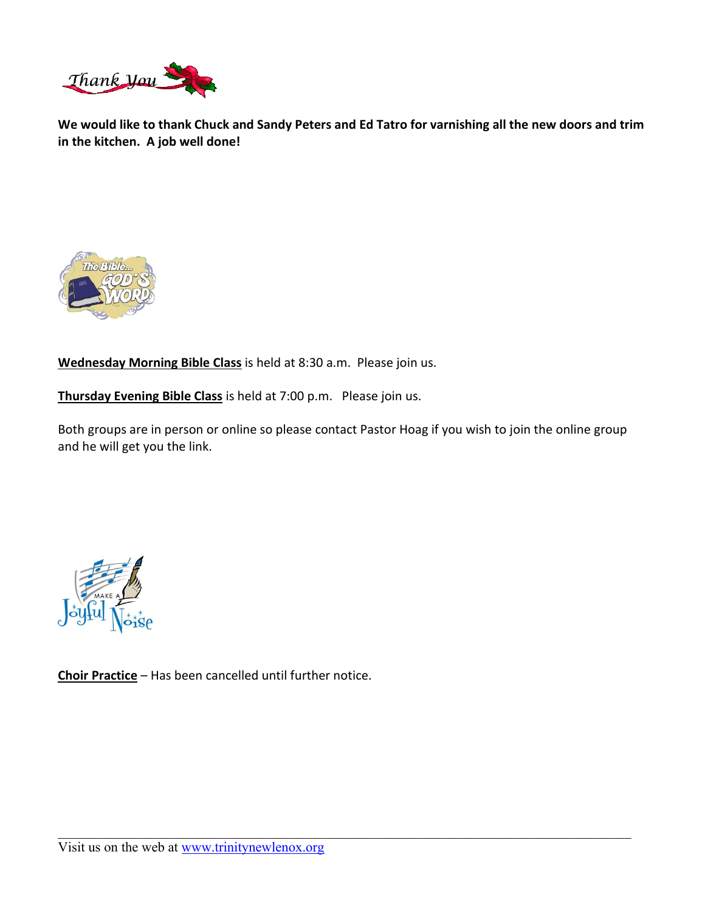

**We would like to thank Chuck and Sandy Peters and Ed Tatro for varnishing all the new doors and trim in the kitchen. A job well done!**



**Wednesday Morning Bible Class** is held at 8:30 a.m. Please join us.

**Thursday Evening Bible Class** is held at 7:00 p.m. Please join us.

Both groups are in person or online so please contact Pastor Hoag if you wish to join the online group and he will get you the link.



**Choir Practice** – Has been cancelled until further notice.